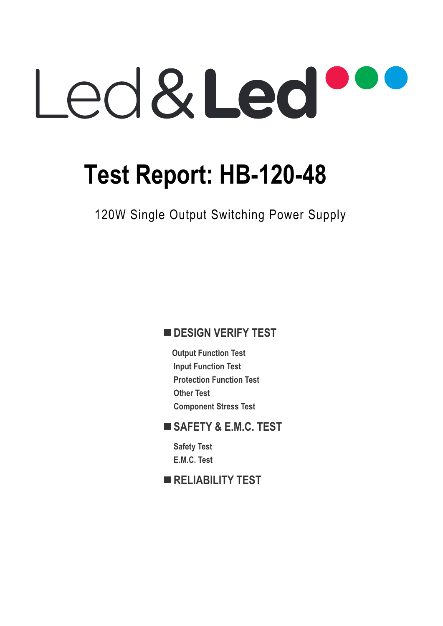# Led&Led

## **Test Report: HB-120-48**

120W Single Output Switching Power Supply

## **DESIGN VERIFY TEST**

**Output Function Test Input Function Test Protection Function Test Other Test Component Stress Test** 

## **SAFETY & E.M.C. TEST**

**Safety Test E.M.C. Test** 

## **RELIABILITY TEST**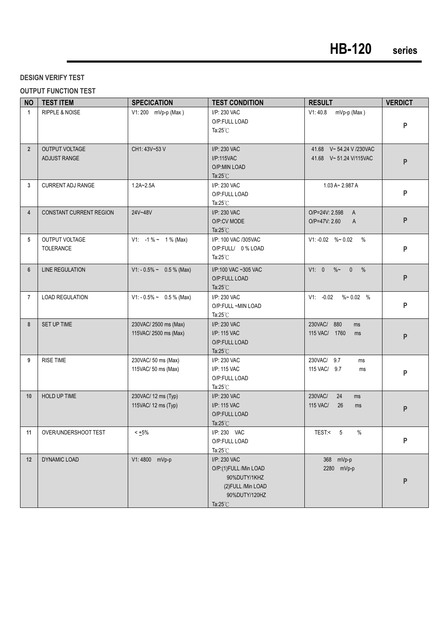#### **DESIGN VERIFY TEST**

#### **OUTPUT FUNCTION TEST**

| <b>NO</b>      | <b>TEST ITEM</b>                   | <b>SPECICATION</b>                            | <b>TEST CONDITION</b>                                                                                               | <b>RESULT</b>                                                   | <b>VERDICT</b> |
|----------------|------------------------------------|-----------------------------------------------|---------------------------------------------------------------------------------------------------------------------|-----------------------------------------------------------------|----------------|
| $\mathbf{1}$   | <b>RIPPLE &amp; NOISE</b>          | V1: 200 mVp-p (Max)                           | I/P: 230 VAC<br>O/P:FULL LOAD<br>Ta: $25^{\circ}$ C                                                                 | mVp-p (Max)<br>V1:40.8                                          | P              |
| $\overline{2}$ | OUTPUT VOLTAGE<br>ADJUST RANGE     | CH1: 43V~53 V                                 | I/P: 230 VAC<br>I/P:115VAC<br>O/P:MIN LOAD<br>Ta: $25^{\circ}$ C                                                    | 41.68 V~54.24 V /230VAC<br>41.68 V~51.24 V/115VAC               | $\mathsf{P}$   |
| 3              | <b>CURRENT ADJ RANGE</b>           | $1.2A - 2.5A$                                 | I/P: 230 VAC<br>O/P:FULL LOAD<br>Ta: $25^{\circ}$ C                                                                 | $1.03 A - 2.987 A$                                              | ${\sf P}$      |
| $\overline{4}$ | <b>CONSTANT CURRENT REGION</b>     | 24V~48V                                       | I/P: 230 VAC<br>O/P:CV MODE<br>Ta: $25^{\circ}$ C                                                                   | O/P=24V: 2.598<br>$\mathsf{A}$<br>O/P=47V: 2.60<br>$\mathsf{A}$ | P              |
| 5              | OUTPUT VOLTAGE<br><b>TOLERANCE</b> | V1: $-1\% \sim 1\%$ (Max)                     | I/P: 100 VAC /305VAC<br>O/P:FULL/ 0% LOAD<br>Ta: $25^{\circ}$ C                                                     | V1: -0.02 %~ 0.02 %                                             | P              |
| $6\phantom{1}$ | <b>LINE REGULATION</b>             | $V1: -0.5\% \sim 0.5\%$ (Max)                 | I/P:100 VAC ~305 VAC<br>O/P:FULL LOAD<br>Ta: $25^{\circ}$ C                                                         | V1: 0 %~ 0 %                                                    | P              |
| $\overline{7}$ | <b>LOAD REGULATION</b>             | $V1: -0.5\% \sim 0.5\%$ (Max)                 | I/P: 230 VAC<br>O/P:FULL~MIN LOAD<br>Ta: $25^{\circ}$ C                                                             | $V1: -0.02$ %~ 0.02 %                                           | P              |
| 8              | SET UP TIME                        | 230VAC/2500 ms (Max)<br>115VAC/ 2500 ms (Max) | I/P: 230 VAC<br>I/P: 115 VAC<br>O/P:FULL LOAD<br>Ta: $25^{\circ}$ C                                                 | 230VAC/ 880<br>ms<br>115 VAC/ 1760<br>ms                        | P              |
| 9              | <b>RISE TIME</b>                   | 230VAC/ 50 ms (Max)<br>115VAC/ 50 ms (Max)    | I/P: 230 VAC<br>I/P: 115 VAC<br>O/P:FULL LOAD<br>Ta: $25^{\circ}$ C                                                 | 230VAC/ 9.7<br>ms<br>115 VAC/ 9.7<br>ms                         | P              |
| 10             | HOLD UP TIME                       | 230VAC/ 12 ms (Typ)<br>115VAC/ 12 ms (Typ)    | I/P: 230 VAC<br>I/P: 115 VAC<br>O/P:FULL LOAD<br>Ta: $25^{\circ}$ C                                                 | 230VAC/<br>24<br>ms<br>115 VAC/<br>26<br>ms                     | $\mathsf{P}$   |
| 11             | OVER/UNDERSHOOT TEST               | $< +5\%$                                      | I/P: 230 VAC<br>O/P:FULL LOAD<br>Ta:25°C                                                                            | TEST:< 5<br>%                                                   | P              |
| 12             | <b>DYNAMIC LOAD</b>                | V1:4800 mVp-p                                 | I/P: 230 VAC<br>O/P:(1)FULL /Min LOAD<br>90%DUTY/1KHZ<br>(2) FULL / Min LOAD<br>90%DUTY/120HZ<br>Ta: $25^{\circ}$ C | 368 mVp-p<br>2280 mVp-p                                         | $\mathsf{P}$   |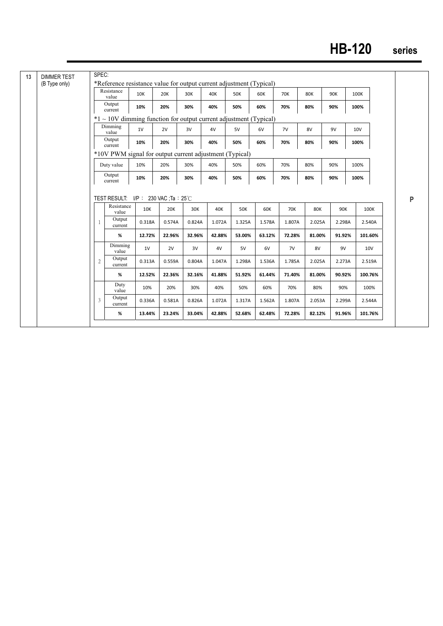## **HB-120 series**

| <b>DIMMER TEST</b><br>(B Type only) |                | SPEC:<br>*Reference resistance value for output current adjustment (Typical) |                             |        |        |        |            |        |            |        |        |            |            |
|-------------------------------------|----------------|------------------------------------------------------------------------------|-----------------------------|--------|--------|--------|------------|--------|------------|--------|--------|------------|------------|
|                                     |                | Resistance<br>value                                                          | 10K                         | 20K    | 30K    | 40K    | <b>50K</b> | 60K    | <b>70K</b> | 80K    | 90K    | 100K       |            |
|                                     |                | Output<br>current                                                            | 10%                         | 20%    | 30%    | 40%    | 50%        | 60%    | 70%        | 80%    | 90%    | 100%       |            |
|                                     |                | $*1 \sim 10V$ dimming function for output current adjustment (Typical)       |                             |        |        |        |            |        |            |        |        |            |            |
|                                     |                | Dimming<br>value                                                             | 1V                          | 2V     | 3V     | 4V     | 5V         | 6V     | 7V         | 8V     | 9V     | <b>10V</b> |            |
|                                     |                | Output<br>current                                                            | 10%                         | 20%    | 30%    | 40%    | 50%        | 60%    | 70%        | 80%    | 90%    | 100%       |            |
|                                     |                | *10V PWM signal for output current adjustment (Typical)                      |                             |        |        |        |            |        |            |        |        |            |            |
|                                     |                | Duty value                                                                   | 10%                         | 20%    | 30%    | 40%    | 50%        | 60%    | 70%        | 80%    | 90%    | 100%       |            |
|                                     |                | Output<br>current                                                            | 10%                         | 20%    | 30%    | 40%    | 50%        | 60%    | 70%        | 80%    | 90%    | 100%       |            |
|                                     |                |                                                                              |                             |        |        |        |            |        |            |        |        |            |            |
|                                     |                | TEST RESULT:                                                                 | $I/P$ : 230 VAC :Ta : 25 °C |        |        |        |            |        |            |        |        |            |            |
|                                     |                | Resistance<br>value                                                          | 10K                         | 20K    | 30K    | 40K    | <b>50K</b> | 60K    | <b>70K</b> | 80K    | 90K    |            | 100K       |
|                                     | 1              | Output<br>current                                                            | 0.318A                      | 0.574A | 0.824A | 1.072A | 1.325A     | 1.578A | 1.807A     | 2.025A | 2.298A |            | 2.540A     |
|                                     |                | %                                                                            | 12.72%                      | 22.96% | 32.96% | 42.88% | 53.00%     | 63.12% | 72.28%     | 81.00% | 91.92% |            | 101.60%    |
|                                     |                | Dimming<br>value                                                             | 1V                          | 2V     | 3V     | 4V     | 5V         | 6V     | 7V         | 8V     | 9V     |            | <b>10V</b> |
|                                     | $\overline{2}$ | Output<br>current                                                            | 0.313A                      | 0.559A | 0.804A | 1.047A | 1.298A     | 1.536A | 1.785A     | 2.025A | 2.273A |            | 2.519A     |
|                                     |                | %                                                                            | 12.52%                      | 22.36% | 32.16% | 41.88% | 51.92%     | 61.44% | 71.40%     | 81.00% | 90.92% |            | 100.76%    |
|                                     |                | Duty<br>value                                                                | 10%                         | 20%    | 30%    | 40%    | 50%        | 60%    | 70%        | 80%    | 90%    |            | 100%       |
|                                     | 3              | Output<br>current                                                            | 0.336A                      | 0.581A | 0.826A | 1.072A | 1.317A     | 1.562A | 1.807A     | 2.053A | 2.299A |            | 2.544A     |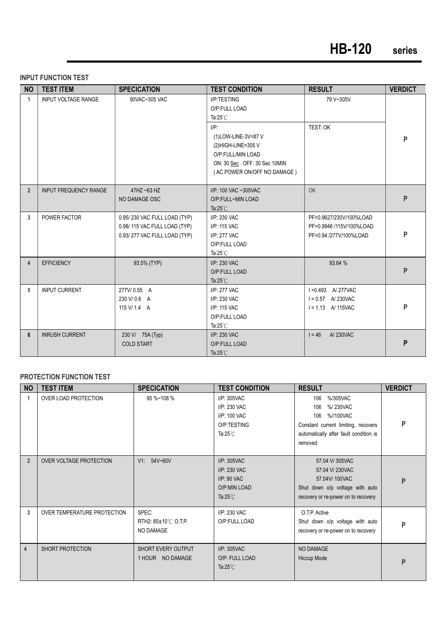#### **INPUT FUNCTION TEST**

| <b>NO</b>      | <b>TEST ITEM</b>             | <b>SPECICATION</b>                                                                           | <b>TEST CONDITION</b>                                                                                                                     | <b>RESULT</b>                                                                 | <b>VERDICT</b> |
|----------------|------------------------------|----------------------------------------------------------------------------------------------|-------------------------------------------------------------------------------------------------------------------------------------------|-------------------------------------------------------------------------------|----------------|
| $\mathbf{1}$   | <b>INPUT VOLTAGE RANGE</b>   | 90VAC~305 VAC                                                                                | I/P:TESTING<br>O/P:FULL LOAD<br>Ta: $25^{\circ}$ C                                                                                        | 79 V~305V                                                                     |                |
|                |                              |                                                                                              | $I/P$ :<br>(1)LOW-LINE-3V=87 V<br>(2)HIGH-LINE=305 V<br>O/P:FULL/MIN LOAD<br>ON: 30 Sec. OFF: 30 Sec 10MIN<br>(AC POWER ON/OFF NO DAMAGE) | TEST: OK                                                                      | P              |
| $\overline{2}$ | <b>INPUT FREQUENCY RANGE</b> | 47HZ ~63 HZ<br>NO DAMAGE OSC                                                                 | I/P: 100 VAC ~305VAC<br>O/P:FULL~MIN LOAD<br>Ta: $25^{\circ}$ C                                                                           | <b>OK</b>                                                                     | P              |
| $\overline{3}$ | POWER FACTOR                 | 0.95/230 VAC FULL LOAD (TYP)<br>0.98/115 VAC FULL LOAD (TYP)<br>0.93/277 VAC FULL LOAD (TYP) | I/P: 230 VAC<br>I/P: 115 VAC<br>I/P: 277 VAC<br>O/P:FULL LOAD<br>Ta: $25^{\circ}$ C                                                       | PF=0.9627/230V/100%LOAD<br>PF=0.9946 /115V/100%LOAD<br>PF=0.94 /277V/100%LOAD | P              |
| 4              | <b>EFFICIENCY</b>            | 93.5% (TYP)                                                                                  | I/P: 230 VAC<br>O/P:FULL LOAD<br>Ta: $25^{\circ}$ C                                                                                       | 93.64 %                                                                       | P              |
| 5              | <b>INPUT CURRENT</b>         | 277V/0.55 A<br>230 V/0.6 A<br>115 V/ 1.4 A                                                   | I/P: 277 VAC<br>I/P: 230 VAC<br>I/P: 115 VAC<br>O/P:FULL LOAD<br>Ta: $25^{\circ}$ C                                                       | I = 0.493 A/277VAC<br>$I = 0.57$ A/230VAC<br>$I = 1.13$ A/115VAC              | P              |
| 6              | <b>INRUSH CURRENT</b>        | 230 V/ 75A (Typ)<br><b>COLD START</b>                                                        | I/P: 230 VAC<br>O/P:FULL LOAD<br>Ta: $25^{\circ}$ C                                                                                       | $1 = 46$<br>A/230VAC                                                          | P              |

#### **PROTECTION FUNCTION TEST**

| <b>NO</b>      | <b>TEST ITEM</b>            | <b>SPECICATION</b>                        | <b>TEST CONDITION</b>                                                               | <b>RESULT</b>                                                                                                                                      | <b>VERDICT</b> |
|----------------|-----------------------------|-------------------------------------------|-------------------------------------------------------------------------------------|----------------------------------------------------------------------------------------------------------------------------------------------------|----------------|
| 1              | OVER LOAD PROTECTION        | 95 %~108 %                                | I/P: 305VAC<br>I/P: 230 VAC<br>I/P: 100 VAC<br>O/P:TESTING<br>Ta: $25^{\circ}$ C    | %/305VAC<br>106<br>%/230VAC<br>106<br>%//100VAC<br>106<br>Constant current limiting, recovers<br>automatically after fault condition is<br>removed | P              |
| $\overline{2}$ | OVER VOLTAGE PROTECTION     | V1: 54V~60V                               | I/P: 305VAC<br>I/P: 230 VAC<br>$I/P$ : 90 VAC<br>O/P:MIN LOAD<br>Ta: $25^{\circ}$ C | 57.04 V/305VAC<br>57.04 V/ 230VAC<br>57.04V/100VAC<br>Shut down o/p voltage with auto<br>recovery or re-power on to recovery                       | P              |
| 3              | OVER TEMPERATURE PROTECTION | SPEC:<br>RTH2: 85±10℃ O.T.P.<br>NO DAMAGE | I/P: 230 VAC<br>O/P:FULL LOAD                                                       | O.T.P. Active<br>Shut down o/p voltage with auto<br>recovery or re-power on to recovery                                                            | P              |
| $\overline{4}$ | SHORT PROTECTION            | SHORT EVERY OUTPUT<br>1 HOUR NO DAMAGE    | $I/P$ : 305VAC<br>O/P: FULL LOAD<br>Ta: $25^{\circ}$ C                              | NO DAMAGE<br><b>Hiccup Mode</b>                                                                                                                    | P              |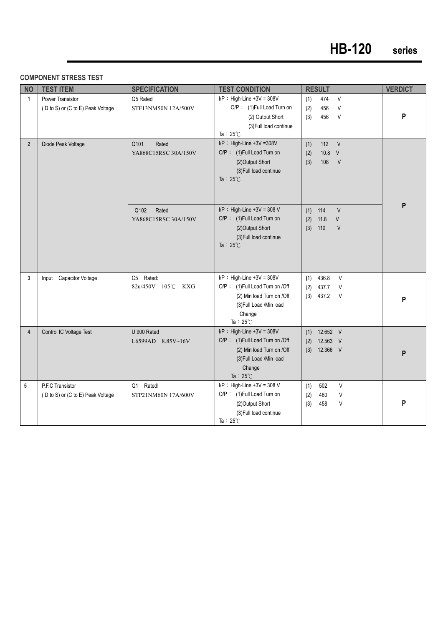#### **COMPONENT STRESS TEST**

| <b>NO</b>      | <b>TEST ITEM</b>                                             | <b>SPECIFICATION</b>                  | <b>TEST CONDITION</b>                                                                                                                                   | <b>RESULT</b>                                                             | <b>VERDICT</b> |
|----------------|--------------------------------------------------------------|---------------------------------------|---------------------------------------------------------------------------------------------------------------------------------------------------------|---------------------------------------------------------------------------|----------------|
| $\mathbf{1}$   | <b>Power Transistor</b><br>(D to S) or (C to E) Peak Voltage | Q5 Rated<br>STF13NM50N 12A/500V       | $I/P$ : High-Line +3V = 308V<br>O/P: (1)Full Load Turn on<br>(2) Output Short<br>(3) Full load continue                                                 | $\vee$<br>(1)<br>474<br>456<br>$\vee$<br>(2)<br>$\vee$<br>(3)<br>456      | P              |
| $\overline{2}$ | Diode Peak Voltage                                           | Q101<br>Rated<br>YA868C15RSC 30A/150V | Ta: $25^{\circ}$ C<br>I/P: High-Line +3V =308V<br>O/P: (1) Full Load Turn on<br>(2) Output Short<br>(3) Full load continue<br>Ta : $25^{\circ}$ C       | 112<br>V<br>(1)<br>10.8 V<br>(2)<br>108<br>V<br>(3)                       |                |
|                |                                                              | Q102<br>Rated<br>YA868C15RSC 30A/150V | $I/P$ : High-Line +3V = 308 V<br>O/P: (1) Full Load Turn on<br>(2) Output Short<br>(3) Full load continue<br>Ta: $25^{\circ}$ C                         | 114<br>V<br>(1)<br>11.8<br>(2)<br>$\vee$<br>(3)<br>110<br>$\vee$          | P              |
| 3              | Input Capacitor Voltage                                      | C5 Rated:<br>82u/450V 105℃ KXG        | $I/P$ : High-Line +3V = 308V<br>O/P: (1)Full Load Turn on /Off<br>(2) Min load Turn on /Off<br>(3) Full Load / Min load<br>Change<br>Ta: $25^{\circ}$ C | $\vee$<br>436.8<br>(1)<br>437.7<br>$\vee$<br>(2)<br>$(3)$ 437.2<br>$\vee$ | P              |
| $\overline{4}$ | Control IC Voltage Test                                      | U 900 Rated<br>L6599AD 8.85V~16V      | $I/P$ : High-Line +3V = 308V<br>O/P: (1)Full Load Turn on /Off<br>(2) Min load Turn on /Off<br>(3) Full Load / Min load<br>Change<br>Ta: $25^{\circ}$ C | 12.652 V<br>(1)<br>12.563 V<br>(2)<br>12.366 V<br>(3)                     | P              |
| 5              | P.F.C Transistor<br>(D to S) or (C to E) Peak Voltage        | Q1 Ratedl<br>STP21NM60N 17A/600V      | $I/P$ : High-Line +3V = 308 V<br>O/P: (1) Full Load Turn on<br>(2) Output Short<br>(3) Full load continue<br>Ta: $25^{\circ}$ C                         | V<br>(1)<br>502<br>V<br>(2)<br>460<br>V<br>(3)<br>458                     | P              |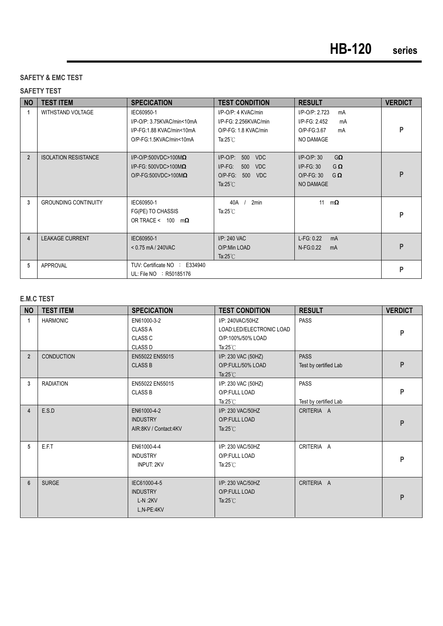#### **SAFETY & EMC TEST**

#### **SAFETY TEST**

| <b>NO</b>      | <b>TEST ITEM</b>            | <b>SPECICATION</b>                                                                               | <b>TEST CONDITION</b>                                                                                                  | <b>RESULT</b>                                                                                       | <b>VERDICT</b> |
|----------------|-----------------------------|--------------------------------------------------------------------------------------------------|------------------------------------------------------------------------------------------------------------------------|-----------------------------------------------------------------------------------------------------|----------------|
| 1              | <b>WITHSTAND VOLTAGE</b>    | IEC60950-1<br>I/P-O/P: 3.75KVAC/min<10mA<br>I/P-FG:1.88 KVAC/min<10mA<br>O/P-FG:1.5KVAC/min<10mA | I/P-O/P: 4 KVAC/min<br>I/P-FG: 2.256KVAC/min<br>O/P-FG: 1.8 KVAC/min<br>Ta: $25^{\circ}$ C                             | I/P-O/P: 2.723<br>mA<br>I/P-FG: 2.452<br>mA<br>O/P-FG:3.67<br>mA<br>NO DAMAGE                       | P              |
| $\overline{2}$ | <b>ISOLATION RESISTANCE</b> | $I/P$ -O/P:500VDC>100M $\Omega$<br>I/P-FG: 500VDC>100M $\Omega$<br>O/P-FG:500VDC>100M $\Omega$   | $I/P$ -O/P:<br>500<br><b>VDC</b><br>$I/P-FG$ :<br>500<br><b>VDC</b><br>O/P-FG: 500<br><b>VDC</b><br>Ta: $25^{\circ}$ C | $I/P$ -O/P: 30<br>$G\Omega$<br>$I/P-FG: 30$<br>$G \Omega$<br>$O/P-FG: 30$<br>$G\Omega$<br>NO DAMAGE | P              |
| 3              | <b>GROUNDING CONTINUITY</b> | IEC60950-1<br>FG(PE) TO CHASSIS<br>OR TRACE < $100 \text{ m}\Omega$                              | 2min<br>40A<br>Ta: $25^{\circ}$ C                                                                                      | 11<br>$m\Omega$                                                                                     | P              |
| $\overline{4}$ | <b>LEAKAGE CURRENT</b>      | IEC60950-1<br>$< 0.75$ mA / 240VAC                                                               | I/P: 240 VAC<br>O/P:Min LOAD<br>Ta: $25^{\circ}$ C                                                                     | $L-FG: 0.22$<br>mA<br>N-FG:0.22<br>mA                                                               | P              |
| 5              | APPROVAL                    | TUV: Certificate NO : E334940<br>UL: File NO : R50185176                                         |                                                                                                                        |                                                                                                     | P              |

#### **E.M.C TEST**

| <b>NO</b>   | <b>TEST ITEM</b>  | <b>SPECICATION</b>                                                | <b>TEST CONDITION</b>                                                                   | <b>RESULT</b>                        | <b>VERDICT</b> |
|-------------|-------------------|-------------------------------------------------------------------|-----------------------------------------------------------------------------------------|--------------------------------------|----------------|
| 1           | <b>HARMONIC</b>   | EN61000-3-2<br><b>CLASS A</b><br><b>CLASS C</b><br><b>CLASS D</b> | I/P: 240VAC/50HZ<br>LOAD:LED/ELECTRONIC LOAD<br>O/P:100%/50% LOAD<br>Ta: $25^{\circ}$ C | <b>PASS</b>                          | P              |
| $2^{\circ}$ | <b>CONDUCTION</b> | EN55022 EN55015<br><b>CLASS B</b>                                 | I/P: 230 VAC (50HZ)<br>O/P:FULL/50% LOAD<br>Ta: $25^{\circ}$ C                          | <b>PASS</b><br>Test by certified Lab | P              |
| 3           | <b>RADIATION</b>  | EN55022 EN55015<br><b>CLASS B</b>                                 | I/P: 230 VAC (50HZ)<br>O/P:FULL LOAD<br>Ta: $25^{\circ}$ C                              | <b>PASS</b><br>Test by certified Lab | P              |
| 4           | E.S.D             | EN61000-4-2<br><b>INDUSTRY</b><br>AIR:8KV / Contact:4KV           | I/P: 230 VAC/50HZ<br>O/P:FULL LOAD<br>Ta: $25^{\circ}$ C                                | CRITERIA A                           | P              |
| 5           | E.F.T             | EN61000-4-4<br><b>INDUSTRY</b><br><b>INPUT: 2KV</b>               | I/P: 230 VAC/50HZ<br>O/P:FULL LOAD<br>Ta: $25^{\circ}$ C                                | CRITERIA A                           | P              |
| 6           | <b>SURGE</b>      | IEC61000-4-5<br><b>INDUSTRY</b><br>$L-N:2KV$<br>L,N-PE:4KV        | I/P: 230 VAC/50HZ<br>O/P:FULL LOAD<br>Ta: $25^{\circ}$ C                                | CRITERIA A                           | P              |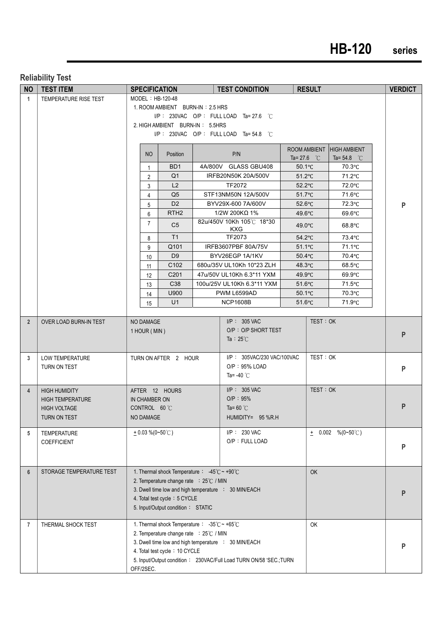## **HB-120 series**

#### **Reliability Test**

|                | NO   TEST ITEM           | <b>SPECIFICATION</b> |                                                                          |                                                                   |  | <b>TEST CONDITION</b><br><b>RESULT</b>                             |                      |          |                           | <b>VERDICT</b> |
|----------------|--------------------------|----------------------|--------------------------------------------------------------------------|-------------------------------------------------------------------|--|--------------------------------------------------------------------|----------------------|----------|---------------------------|----------------|
| $\mathbf{1}$   | TEMPERATURE RISE TEST    |                      | MODEL: HB-120-48                                                         |                                                                   |  |                                                                    |                      |          |                           |                |
|                |                          |                      |                                                                          | 1. ROOM AMBIENT BURN-IN: 2.5 HRS                                  |  |                                                                    |                      |          |                           |                |
|                |                          |                      | I/P: 230VAC O/P: FULL LOAD Ta= 27.6 °C                                   |                                                                   |  |                                                                    |                      |          |                           |                |
|                |                          |                      | 2. HIGH AMBIENT BURN-IN: 5.5HRS<br>I/P: 230VAC O/P: FULL LOAD Ta=54.8 °C |                                                                   |  |                                                                    |                      |          |                           |                |
|                |                          |                      |                                                                          |                                                                   |  |                                                                    |                      |          |                           |                |
|                |                          |                      |                                                                          |                                                                   |  |                                                                    |                      |          | ROOM AMBIENT HIGH AMBIENT |                |
|                |                          |                      | NO                                                                       | <b>Position</b>                                                   |  | P/N                                                                | Ta= 27.6 $\degree$ C |          | Ta= 54.8 $\degree$ C      |                |
|                |                          |                      | 1                                                                        | B <sub>D</sub> 1                                                  |  | 4A/800V GLASS GBU408                                               | $50.1^{\circ}$ C     |          | 70.3°C                    |                |
|                |                          |                      | 2                                                                        | Q <sub>1</sub>                                                    |  | IRFB20N50K 20A/500V                                                | $51.2^{\circ}$ C     |          | 71.2°C                    |                |
|                |                          |                      | 3                                                                        | L2                                                                |  | TF2072                                                             | $52.2^{\circ}$ C     |          | 72.0°C                    |                |
|                |                          |                      | 4                                                                        | Q <sub>5</sub>                                                    |  | STF13NM50N 12A/500V                                                | $51.7^{\circ}$ C     |          | 71.6°C                    |                |
|                |                          |                      | 5                                                                        | D <sub>2</sub>                                                    |  | BYV29X-600 7A/600V                                                 | $52.6^{\circ}$ C     |          | 72.3°C                    | P              |
|                |                          |                      | 6                                                                        | RTH <sub>2</sub>                                                  |  | $1/2W$ 200K $\Omega$ 1%<br>82u/450V 10Kh 105℃ 18*30                | $49.6^{\circ}$ C     |          | $69.6^{\circ}$ C          |                |
|                |                          |                      | $\overline{7}$                                                           | C <sub>5</sub>                                                    |  | <b>KXG</b>                                                         | $49.0^{\circ}$ C     |          | $68.8^{\circ}$ C          |                |
|                |                          |                      | 8                                                                        | T1                                                                |  | TF2073                                                             | $54.2^{\circ}$ C     |          | 73.4°C                    |                |
|                |                          |                      | 9                                                                        | Q101                                                              |  | IRFB3607PBF 80A/75V                                                | $51.1^{\circ}$ C     |          | 71.1°C                    |                |
|                |                          |                      | 10                                                                       | D <sub>9</sub>                                                    |  | BYV26EGP 1A/1KV                                                    | $50.4$ °C            |          | 70.4°C                    |                |
|                |                          |                      | 11                                                                       | C102                                                              |  | 680u/35V UL10Kh 10*23 ZLH                                          | $48.3^{\circ}$ C     |          | $68.5^{\circ}$ C          |                |
|                |                          |                      | $12 \overline{ }$                                                        | C <sub>201</sub>                                                  |  | 47u/50V UL10Kh 6.3*11 YXM                                          | $49.9^{\circ}$ C     |          | $69.9^{\circ}$ C          |                |
|                |                          |                      | 13                                                                       | C <sub>38</sub>                                                   |  | 100u/25V UL10Kh 6.3*11 YXM                                         | $51.6^{\circ}$ C     |          | 71.5°C                    |                |
|                |                          |                      | 14                                                                       | U900                                                              |  | PWM L6599AD                                                        | $50.1^{\circ}$ C     |          | 70.3°C                    |                |
|                |                          |                      | 15                                                                       | U1                                                                |  | <b>NCP1608B</b>                                                    | $51.6^{\circ}$ C     |          | 71.9°C                    |                |
| $\overline{2}$ | OVER LOAD BURN-IN TEST   |                      | NO DAMAGE                                                                |                                                                   |  | $I/P$ : 305 VAC                                                    |                      | TEST: OK |                           |                |
|                |                          |                      | 1 HOUR (MIN)                                                             |                                                                   |  | O/P: O/P SHORT TEST                                                |                      |          |                           |                |
|                |                          |                      |                                                                          |                                                                   |  | Ta : $25^{\circ}$ C                                                |                      |          |                           | P              |
|                |                          |                      |                                                                          |                                                                   |  |                                                                    |                      |          |                           |                |
| 3              | LOW TEMPERATURE          |                      |                                                                          | TURN ON AFTER 2 HOUR                                              |  | I/P: 305VAC/230 VAC/100VAC                                         |                      | TEST: OK |                           |                |
|                | TURN ON TEST             |                      |                                                                          |                                                                   |  | $O/P: 95\%$ LOAD                                                   |                      |          |                           | P              |
|                |                          |                      |                                                                          |                                                                   |  | Ta= -40 $°C$                                                       |                      |          |                           |                |
| $\overline{4}$ | <b>HIGH HUMIDITY</b>     |                      |                                                                          | AFTER 12 HOURS                                                    |  | I/P: 305 VAC                                                       |                      | TEST: OK |                           |                |
|                | <b>HIGH TEMPERATURE</b>  |                      | IN CHAMBER ON                                                            |                                                                   |  | O/P : 95%                                                          |                      |          |                           |                |
|                | <b>HIGH VOLTAGE</b>      |                      | CONTROL 60 °C                                                            |                                                                   |  | Ta= 60 $^{\circ}$ C                                                |                      |          |                           | P              |
|                | TURN ON TEST             |                      | NO DAMAGE                                                                |                                                                   |  | HUMIDITY= 95 %R.H                                                  |                      |          |                           |                |
| 5              | TEMPERATURE              |                      | $+0.03\%$ (0~50°C)                                                       |                                                                   |  | I/P: 230 VAC                                                       |                      |          | $\pm$ 0.002 %(0~50°C)     |                |
|                | <b>COEFFICIENT</b>       |                      |                                                                          |                                                                   |  | O/P: FULL LOAD                                                     |                      |          |                           |                |
|                |                          |                      |                                                                          |                                                                   |  |                                                                    |                      |          |                           | P              |
|                |                          |                      |                                                                          |                                                                   |  |                                                                    |                      |          |                           |                |
| $6\phantom{1}$ | STORAGE TEMPERATURE TEST |                      |                                                                          | 1. Thermal shock Temperature : $-45^{\circ}$ C ~ +90 $^{\circ}$ C |  |                                                                    |                      | OK       |                           |                |
|                |                          |                      |                                                                          | 2. Temperature change rate : 25°C / MIN                           |  |                                                                    |                      |          |                           |                |
|                |                          |                      |                                                                          |                                                                   |  | 3. Dwell time low and high temperature : 30 MIN/EACH               |                      |          |                           | P              |
|                |                          |                      |                                                                          | 4. Total test cycle: 5 CYCLE                                      |  |                                                                    |                      |          |                           |                |
|                |                          |                      |                                                                          | 5. Input/Output condition: STATIC                                 |  |                                                                    |                      |          |                           |                |
|                |                          |                      |                                                                          | 1. Thermal shock Temperature : -35℃~ +65℃                         |  |                                                                    |                      |          |                           |                |
| $\overline{7}$ | THERMAL SHOCK TEST       |                      |                                                                          | 2. Temperature change rate : 25°C / MIN                           |  |                                                                    |                      | OK       |                           |                |
|                |                          |                      |                                                                          |                                                                   |  | 3. Dwell time low and high temperature : 30 MIN/EACH               |                      |          |                           |                |
|                |                          |                      |                                                                          | 4. Total test cycle: 10 CYCLE                                     |  |                                                                    |                      |          |                           | P              |
|                |                          |                      |                                                                          |                                                                   |  | 5. Input/Output condition: 230VAC/Full Load TURN ON/58 'SEC.; TURN |                      |          |                           |                |
|                |                          |                      | OFF/2SEC.                                                                |                                                                   |  |                                                                    |                      |          |                           |                |